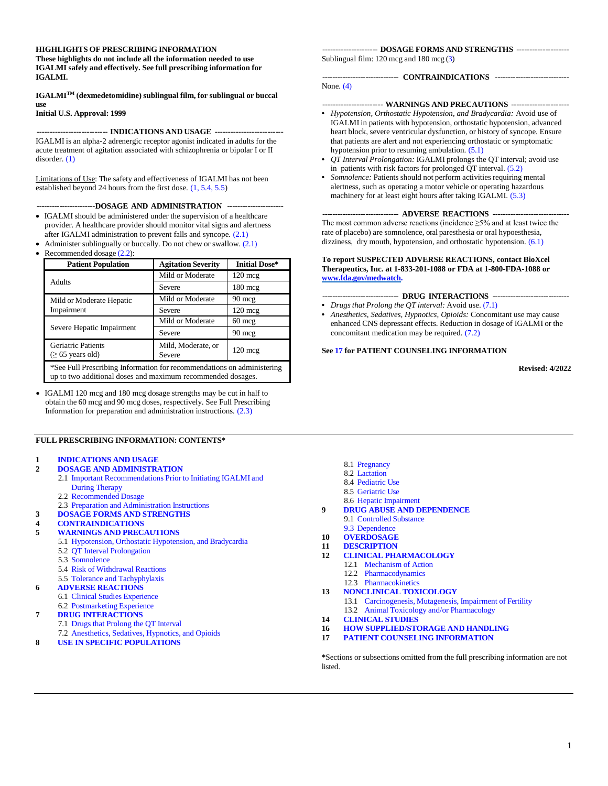#### **HIGHLIGHTS OF PRESCRIBING INFORMATION**

**These highlights do not include all the information needed to use IGALMI safely and effectively. See full prescribing information for IGALMI.**

**IGALMITM (dexmedetomidine) sublingual film, for sublingual or buccal use**

**Initial U.S. Approval: 1999**

**--------------------------- INDICATIONS AND USAGE --------------------------** IGALMI is an alpha-2 adrenergic receptor agonist indicated in adults for the acute treatment of agitation associated with schizophrenia or bipolar I or II disorder. [\(1\)](#page-1-0)

Limitations of Use: The safety and effectiveness of IGALMI has not been established beyond 24 hours from the first dose. [\(1,](#page-1-0) [5.4, 5](#page-5-0).5)

**-----------------------DOSAGE AND ADMINISTRATION ----------------------**

- IGALMI should be administered under the supervision of a healthcare provider. A healthcare provider should monitor vital signs and alertness after IGALMI administration to prevent falls and syncope. [\(2.1\)](#page-1-1)
- Administer sublingually or buccally. Do not chew or swallow.  $(2.1)$
- Recommended dosage  $(2.2)$ :

| <b>Patient Population</b>                                                                                                             | <b>Agitation Severity</b> | <b>Initial Dose*</b> |  |
|---------------------------------------------------------------------------------------------------------------------------------------|---------------------------|----------------------|--|
|                                                                                                                                       | Mild or Moderate          | $120 \text{ mcg}$    |  |
| Adults                                                                                                                                | Severe                    | $180 \text{ mcg}$    |  |
| Mild or Moderate Hepatic                                                                                                              | Mild or Moderate          | $90 \text{ mcg}$     |  |
| Impairment                                                                                                                            | Severe                    | $120$ mcg            |  |
| Severe Hepatic Impairment                                                                                                             | Mild or Moderate          | $60 \text{ mcg}$     |  |
|                                                                                                                                       | Severe                    | $90 \text{ mcg}$     |  |
| <b>Geriatric Patients</b><br>Mild, Moderate, or<br>$120 \text{ mcg}$<br>Severe<br>$(≥ 65 \text{ years old})$                          |                           |                      |  |
| *See Full Prescribing Information for recommendations on administering<br>up to two additional doses and maximum recommended dosages. |                           |                      |  |

• IGALMI 120 mcg and 180 mcg dosage strengths may be cut in half to obtain the 60 mcg and 90 mcg doses, respectively. See Full Prescribing Information for preparation and administration instructions. [\(2.3\)](#page-2-0)

#### **FULL PRESCRIBING INFORMATION: CONTENTS\***

#### **1 [INDICATIONS](#page-1-0) AND USAGE**

- **2 DOSAGE AND [ADMINISTRATION](#page-1-3)**
	- 2.1 Important [Recommendations](#page-1-1) Prior to Initiating IGALMI and During [Therapy](#page-1-1)
	- 2.2 [Recommended](#page-1-2) Dosage
	- 2.3 Preparation and [Administration](#page-2-0) Instructions
- <span id="page-0-0"></span>**3 DOSAGE FORMS AND [STRENGTHS](#page-4-2)**
- **4 [CONTRAINDICATIONS](#page-4-0)**
- **5 WARNINGS AND [PRECAUTIONS](#page-4-3)**
	- 5.1 [Hypotension,](#page-4-1) Orthostatic Hypotension, and Bradycardia
	- 5.2 QT Interval [Prolongation](#page-5-1)
	- 5.3 [Somnolence](#page-5-2)
	- 5.4 Risk of [Withdrawal](#page-5-0) Reactions
	- 5.5 Tolerance and [Tachyphylaxis](#page-6-1)
- **6 ADVERSE [REACTIONS](#page-6-2)**
- 6.1 Clinical Studies [Experience](#page-6-0) 6.2 [Postmarketing](#page-8-0) Experience

#### **7 DRUG [INTERACTIONS](#page-9-2)**

- 7.1 Drugs that [Prolong the](#page-9-0) QT Interval
- 7.2 [Anesthetics,](#page-9-1) Sedatives, Hypnotics, and Opioids
- **8 USE IN SPECIFIC [POPULATIONS](#page-9-3)**

#### **--------------------- DOSAGE FORMS AND STRENGTHS --------------------**

Sublingual film: 120 mcg and 180 mcg [\(3\)](#page-0-0)

#### **------------------------------ CONTRAINDICATIONS -----------------------------** None. [\(4\)](#page-4-0)

- **----------------------- WARNINGS AND PRECAUTIONS ----------------------**
- **•** *Hypotension, Orthostatic Hypotension, and Bradycardia:* Avoid use of IGALMI in patients with hypotension, orthostatic hypotension, advanced heart block, severe ventricular dysfunction, or history of syncope. Ensure that patients are alert and not experiencing orthostatic or symptomatic hypotension prior to resuming ambulation. [\(5.1\)](#page-4-1)
- **•** *QT Interval Prolongation:* IGALMI prolongs the QT interval; avoid use in patients with risk factors for prolonged QT interval. [\(5.2\)](#page-5-1)
- **•** *Somnolence:* Patients should not perform activities requiring mental alertness, such as operating a motor vehicle or operating hazardous machinery for at least eight hours after taking IGALMI. [\(5.3\)](#page-5-2)

#### **------------------------------ ADVERSE REACTIONS ------------------------------**

The most common adverse reactions (incidence  $\geq$ 5% and at least twice the rate of placebo) are somnolence, oral paresthesia or oral hypoesthesia, dizziness, dry mouth, hypotension, and orthostatic hypotension. [\(6.1\)](#page-6-0)

#### **To report SUSPECTED ADVERSE REACTIONS, contact BioXcel Therapeutics, Inc. at 1-833-201-1088 or FDA at 1-800-FDA-1088 or [www.fda.gov/medwatch.](http://www.fda.gov/medwatch)**

#### **------------------------------ DRUG INTERACTIONS ------------------------------**

- **•** *Drugs that Prolong the QT interval:* Avoid use. [\(7.1\)](#page-9-0)
- **•** *Anesthetics, Sedatives, Hypnotics, Opioids:* Concomitant use may cause enhanced CNS depressant effects. Reduction in dosage of IGALMI or the concomitant medication may be required. [\(7.2\)](#page-9-1)

#### **See [17](#page-20-0) for PATIENT COUNSELING INFORMATION**

**Revised: 4/2022**

- 8.1 [Pregnancy](#page-9-4)
- 8.2 [Lactation](#page-10-0)
- 8.4 [Pediatric](#page-10-1) Use
- 8.5 [Geriatric](#page-10-2) Use
- 8.6 Hepatic [Impairment](#page-11-0)
- **9 DRUG ABUSE AND [DEPENDENCE](#page-11-1)** 9.1 [Controlled](#page-11-2) Substance
- 9.3 [Dependence](#page-11-3)
- **10 [OVERDOSAGE](#page-12-0)**
- **11 [DESCRIPTION](#page-12-1)**
- **12 CLINICAL [PHARMACOLOGY](#page-13-0)**
	- 12.1 [Mechanism](#page-13-1) of Action
		- 12.2 [Pharmacodynamics](#page-13-2)
	- 12.3 [Pharmacokinetics](#page-13-3)
- **13 [NONCLINICAL](#page-15-0) TOXICOLOGY**
	- 13.1 [Carcinogenesis,](#page-15-1) Mutagenesis, Impairment of Fertility 13.2 Animal Toxicology and/or [Pharmacology](#page-16-0)
- **14 [CLINICAL](#page-16-1) STUDIES**
- **16 HOW [SUPPLIED/STORAGE](#page-19-0) AND HANDLING**
- **17 PATIENT COUNSELING [INFORMATION](#page-20-0)**

**\***Sections or subsections omitted from the full prescribing information are not listed.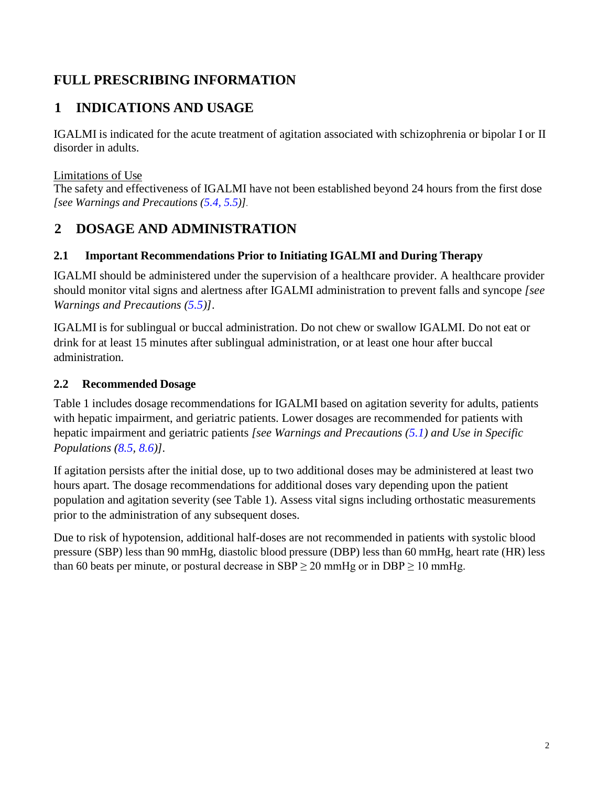# <span id="page-1-0"></span>**FULL PRESCRIBING INFORMATION**

# **1 INDICATIONS AND USAGE**

IGALMI is indicated for the acute treatment of agitation associated with schizophrenia or bipolar I or II disorder in adults.

## Limitations of Use

<span id="page-1-3"></span>The safety and effectiveness of IGALMI have not been established beyond 24 hours from the first dose *[see Warnings and Precautions [\(5.4,](#page-5-0) 5.5)]*.

# **2 DOSAGE AND ADMINISTRATION**

## <span id="page-1-1"></span>**2.1 Important Recommendations Prior to Initiating IGALMI and During Therapy**

IGALMI should be administered under the supervision of a healthcare provider. A healthcare provider should monitor vital signs and alertness after IGALMI administration to prevent falls and syncope *[see Warnings and Precautions [\(5.5\)](#page-6-1)]*.

IGALMI is for sublingual or buccal administration. Do not chew or swallow IGALMI. Do not eat or drink for at least 15 minutes after sublingual administration, or at least one hour after buccal administration.

## <span id="page-1-2"></span>**2.2 Recommended Dosage**

Table 1 includes dosage recommendations for IGALMI based on agitation severity for adults, patients with hepatic impairment, and geriatric patients. Lower dosages are recommended for patients with hepatic impairment and geriatric patients *[see Warnings and Precautions [\(5.1\)](#page-4-1) and Use in Specific Populations [\(8.5,](#page-10-2) [8.6\)](#page-11-0)].*

If agitation persists after the initial dose, up to two additional doses may be administered at least two hours apart. The dosage recommendations for additional doses vary depending upon the patient population and agitation severity (see Table 1). Assess vital signs including orthostatic measurements prior to the administration of any subsequent doses.

Due to risk of hypotension, additional half-doses are not recommended in patients with systolic blood pressure (SBP) less than 90 mmHg, diastolic blood pressure (DBP) less than 60 mmHg, heart rate (HR) less than 60 beats per minute, or postural decrease in  $SBP \ge 20$  mmHg or in  $DBP \ge 10$  mmHg.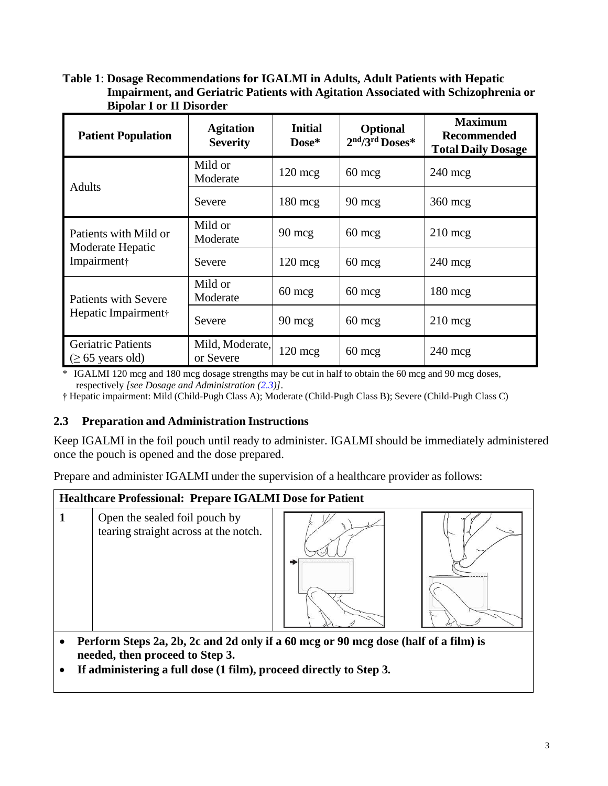#### **Table 1**: **Dosage Recommendations for IGALMI in Adults, Adult Patients with Hepatic Impairment, and Geriatric Patients with Agitation Associated with Schizophrenia or Bipolar I or II Disorder**

| <b>Patient Population</b>                                | <b>Agitation</b><br><b>Severity</b> | <b>Initial</b><br>Dose* | <b>Optional</b><br>2nd/3rd Doses* | <b>Maximum</b><br><b>Recommended</b><br><b>Total Daily Dosage</b> |
|----------------------------------------------------------|-------------------------------------|-------------------------|-----------------------------------|-------------------------------------------------------------------|
| <b>Adults</b>                                            | Mild or<br>Moderate                 | $120 \text{~mg}$        | $60 \text{~mg}$                   | $240 \text{ mcg}$                                                 |
|                                                          | Severe                              | $180 \text{ mg}$        | $90 \text{ mcg}$                  | $360 \text{ mc}$                                                  |
| Patients with Mild or<br>Moderate Hepatic<br>Impairment† | Mild or<br>Moderate                 | $90 \text{ mcg}$        | $60 \text{ mcg}$                  | $210 \text{ mcg}$                                                 |
|                                                          | Severe                              | $120 \text{ mcg}$       | $60 \text{ mcg}$                  | $240 \text{ mcg}$                                                 |
| <b>Patients with Severe</b>                              | Mild or<br>Moderate                 | $60 \text{~mg}$         | $60 \text{ mcg}$                  | $180 \text{ mc}$                                                  |
| Hepatic Impairment†                                      | Severe                              | $90 \text{ mcg}$        | $60 \text{ mcg}$                  | $210 \text{ mcg}$                                                 |
| <b>Geriatric Patients</b><br>$\geq 65$ years old)        | Mild, Moderate,<br>or Severe        | $120 \text{ mcg}$       | $60 \text{~mg}$                   | $240 \text{ mcg}$                                                 |

\* IGALMI 120 mcg and 180 mcg dosage strengths may be cut in half to obtain the 60 mcg and 90 mcg doses, respectively *[see Dosage and Administration [\(2.3\)](#page-2-0)]*.

<span id="page-2-0"></span>† Hepatic impairment: Mild (Child-Pugh Class A); Moderate (Child-Pugh Class B); Severe (Child-Pugh Class C)

#### **2.3 Preparation and Administration Instructions**

Keep IGALMI in the foil pouch until ready to administer. IGALMI should be immediately administered once the pouch is opened and the dose prepared.

Prepare and administer IGALMI under the supervision of a healthcare provider as follows:



- **needed, then proceed to Step 3.**
- **If administering a full dose (1 film), proceed directly to Step 3.**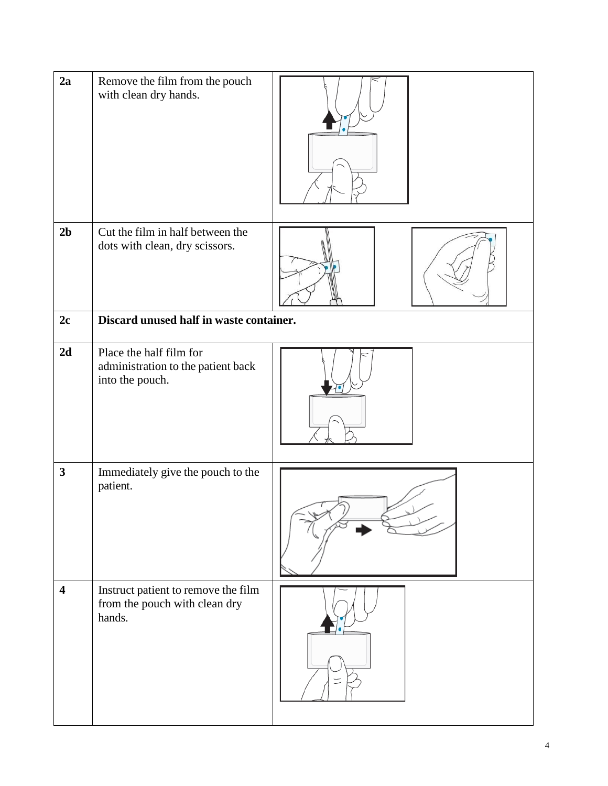| 2a                      | Remove the film from the pouch<br>with clean dry hands.                          |  |
|-------------------------|----------------------------------------------------------------------------------|--|
| 2 <sub>b</sub>          | Cut the film in half between the<br>dots with clean, dry scissors.               |  |
| 2c                      | Discard unused half in waste container.                                          |  |
| 2d                      | Place the half film for<br>administration to the patient back<br>into the pouch. |  |
| $\mathbf{3}$            | Immediately give the pouch to the<br>patient.                                    |  |
| $\overline{\mathbf{4}}$ | Instruct patient to remove the film<br>from the pouch with clean dry<br>hands.   |  |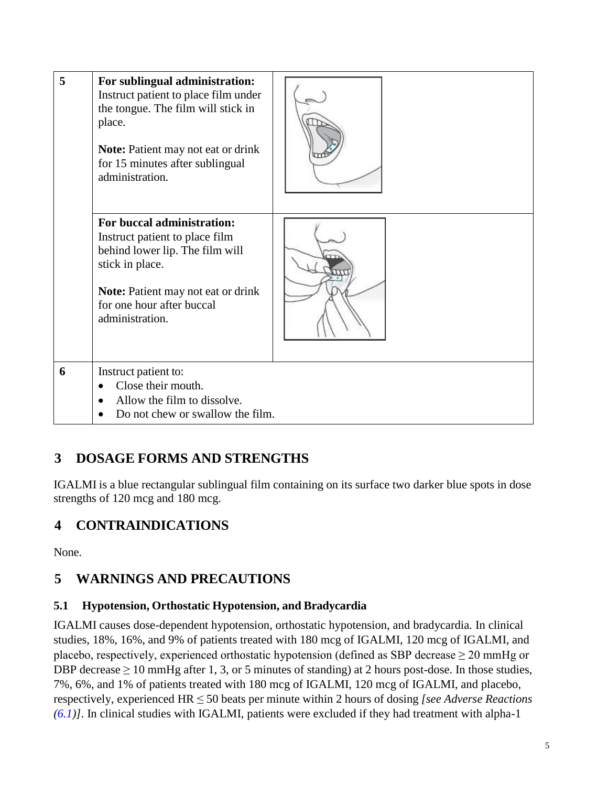| 5 | For sublingual administration:<br>Instruct patient to place film under<br>the tongue. The film will stick in<br>place.<br><b>Note:</b> Patient may not eat or drink<br>for 15 minutes after sublingual<br>administration. |  |
|---|---------------------------------------------------------------------------------------------------------------------------------------------------------------------------------------------------------------------------|--|
|   | For buccal administration:<br>Instruct patient to place film<br>behind lower lip. The film will<br>stick in place.<br><b>Note:</b> Patient may not eat or drink<br>for one hour after buccal<br>administration.           |  |
| 6 | Instruct patient to:<br>Close their mouth.<br>Allow the film to dissolve.<br>Do not chew or swallow the film.                                                                                                             |  |

# <span id="page-4-2"></span>**3 DOSAGE FORMS AND STRENGTHS**

<span id="page-4-0"></span>IGALMI is a blue rectangular sublingual film containing on its surface two darker blue spots in dose strengths of 120 mcg and 180 mcg.

# **4 CONTRAINDICATIONS**

None.

# <span id="page-4-3"></span>**5 WARNINGS AND PRECAUTIONS**

## <span id="page-4-1"></span>**5.1 Hypotension, Orthostatic Hypotension, and Bradycardia**

IGALMI causes dose-dependent hypotension, orthostatic hypotension, and bradycardia*.* In clinical studies, 18%, 16%, and 9% of patients treated with 180 mcg of IGALMI, 120 mcg of IGALMI, and placebo, respectively, experienced orthostatic hypotension (defined as SBP decrease  $\geq$  20 mmHg or DBP decrease  $\geq 10$  mmHg after 1, 3, or 5 minutes of standing) at 2 hours post-dose. In those studies, 7%, 6%, and 1% of patients treated with 180 mcg of IGALMI, 120 mcg of IGALMI, and placebo, respectively, experienced HR ≤ 50 beats per minute within 2 hours of dosing *[see Adverse Reactions [\(6.1\)](#page-6-0)].* In clinical studies with IGALMI, patients were excluded if they had treatment with alpha-1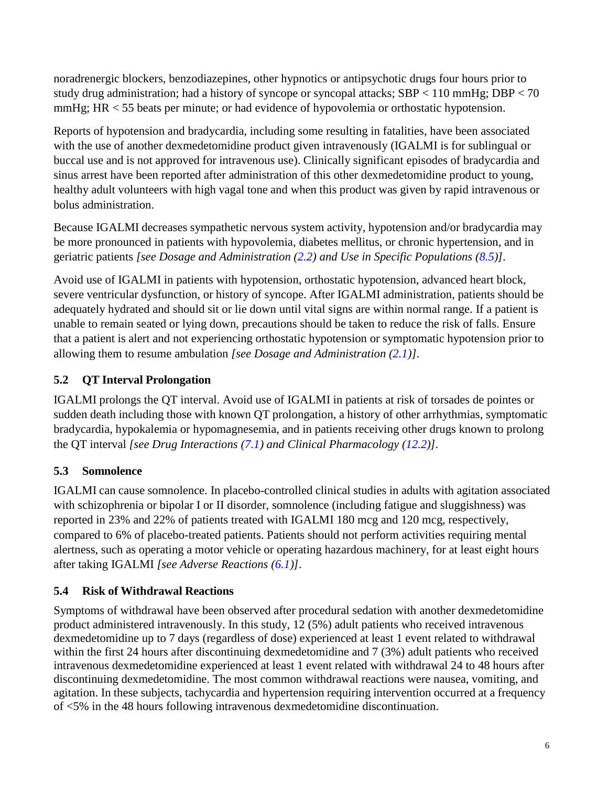noradrenergic blockers, benzodiazepines, other hypnotics or antipsychotic drugs four hours prior to study drug administration; had a history of syncope or syncopal attacks; SBP < 110 mmHg; DBP < 70 mmHg; HR < 55 beats per minute; or had evidence of hypovolemia or orthostatic hypotension.

Reports of hypotension and bradycardia, including some resulting in fatalities, have been associated with the use of another dexmedetomidine product given intravenously (IGALMI is for sublingual or buccal use and is not approved for intravenous use). Clinically significant episodes of bradycardia and sinus arrest have been reported after administration of this other dexmedetomidine product to young, healthy adult volunteers with high vagal tone and when this product was given by rapid intravenous or bolus administration.

Because IGALMI decreases sympathetic nervous system activity, hypotension and/or bradycardia may be more pronounced in patients with hypovolemia, diabetes mellitus, or chronic hypertension, and in geriatric patients *[see Dosage and Administration [\(2.2\)](#page-1-2) and Use in Specific Populations [\(8.5\)](#page-10-2)].*

Avoid use of IGALMI in patients with hypotension, orthostatic hypotension, advanced heart block, severe ventricular dysfunction, or history of syncope. After IGALMI administration, patients should be adequately hydrated and should sit or lie down until vital signs are within normal range. If a patient is unable to remain seated or lying down, precautions should be taken to reduce the risk of falls. Ensure that a patient is alert and not experiencing orthostatic hypotension or symptomatic hypotension prior to allowing them to resume ambulation *[see Dosage and Administration [\(2.1\)](#page-1-1)].*

# <span id="page-5-1"></span>**5.2 QT Interval Prolongation**

IGALMI prolongs the QT interval. Avoid use of IGALMI in patients at risk of torsades de pointes or sudden death including those with known QT prolongation, a history of other arrhythmias, symptomatic bradycardia, hypokalemia or hypomagnesemia, and in patients receiving other drugs known to prolong the QT interval *[see Drug Interactions [\(7.1\)](#page-9-0) and Clinical Pharmacology [\(12.2\)](#page-13-2)].*

## <span id="page-5-2"></span>**5.3 Somnolence**

IGALMI can cause somnolence. In placebo-controlled clinical studies in adults with agitation associated with schizophrenia or bipolar I or II disorder, somnolence (including fatigue and sluggishness) was reported in 23% and 22% of patients treated with IGALMI 180 mcg and 120 mcg, respectively, compared to 6% of placebo-treated patients. Patients should not perform activities requiring mental alertness, such as operating a motor vehicle or operating hazardous machinery, for at least eight hours after taking IGALMI *[see Adverse Reactions [\(6.1\)](#page-6-0)]*.

## <span id="page-5-0"></span>**5.4 Risk of Withdrawal Reactions**

Symptoms of withdrawal have been observed after procedural sedation with another dexmedetomidine product administered intravenously. In this study, 12 (5%) adult patients who received intravenous dexmedetomidine up to 7 days (regardless of dose) experienced at least 1 event related to withdrawal within the first 24 hours after discontinuing dexmedetomidine and 7 (3%) adult patients who received intravenous dexmedetomidine experienced at least 1 event related with withdrawal 24 to 48 hours after discontinuing dexmedetomidine. The most common withdrawal reactions were nausea, vomiting, and agitation. In these subjects, tachycardia and hypertension requiring intervention occurred at a frequency of <5% in the 48 hours following intravenous dexmedetomidine discontinuation.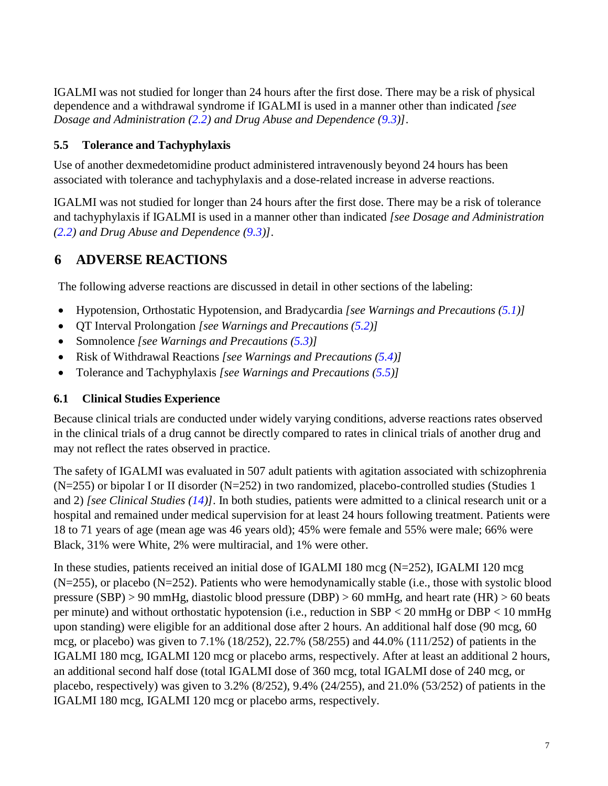IGALMI was not studied for longer than 24 hours after the first dose. There may be a risk of physical dependence and a withdrawal syndrome if IGALMI is used in a manner other than indicated *[see Dosage and Administration [\(2.2\)](#page-1-2) and Drug Abuse and Dependence [\(9.3\)](#page-11-3)]*.

## <span id="page-6-1"></span>**5.5 Tolerance and Tachyphylaxis**

Use of another dexmedetomidine product administered intravenously beyond 24 hours has been associated with tolerance and tachyphylaxis and a dose-related increase in adverse reactions.

IGALMI was not studied for longer than 24 hours after the first dose. There may be a risk of tolerance and tachyphylaxis if IGALMI is used in a manner other than indicated *[see Dosage and Administration [\(2.2\)](#page-1-2) and Drug Abuse and Dependence [\(9.3\)](#page-11-3)]*.

# <span id="page-6-2"></span>**6 ADVERSE REACTIONS**

The following adverse reactions are discussed in detail in other sections of the labeling:

- Hypotension, Orthostatic Hypotension, and Bradycardia *[see Warnings and Precautions [\(5.1\)](#page-4-1)]*
- QT Interval Prolongation *[see Warnings and Precautions [\(5.2\)](#page-5-1)]*
- Somnolence *[see Warnings and Precautions [\(5.3\)](#page-5-2)]*
- Risk of Withdrawal Reactions *[see Warnings and Precautions [\(5.4\)](#page-5-0)]*
- Tolerance and Tachyphylaxis *[see Warnings and Precautions [\(5.5\)](#page-6-1)]*

## <span id="page-6-0"></span>**6.1 Clinical Studies Experience**

Because clinical trials are conducted under widely varying conditions, adverse reactions rates observed in the clinical trials of a drug cannot be directly compared to rates in clinical trials of another drug and may not reflect the rates observed in practice.

The safety of IGALMI was evaluated in 507 adult patients with agitation associated with schizophrenia (N=255) or bipolar I or II disorder (N=252) in two randomized, placebo-controlled studies (Studies 1 and 2) *[see Clinical Studies [\(14\)](#page-16-1)]*. In both studies, patients were admitted to a clinical research unit or a hospital and remained under medical supervision for at least 24 hours following treatment. Patients were 18 to 71 years of age (mean age was 46 years old); 45% were female and 55% were male; 66% were Black, 31% were White, 2% were multiracial, and 1% were other.

In these studies, patients received an initial dose of IGALMI 180 mcg (N=252), IGALMI 120 mcg (N=255), or placebo (N=252). Patients who were hemodynamically stable (i.e., those with systolic blood pressure (SBP) > 90 mmHg, diastolic blood pressure (DBP) > 60 mmHg, and heart rate (HR) > 60 beats per minute) and without orthostatic hypotension (i.e., reduction in SBP < 20 mmHg or DBP < 10 mmHg upon standing) were eligible for an additional dose after 2 hours. An additional half dose (90 mcg, 60 mcg, or placebo) was given to 7.1% (18/252), 22.7% (58/255) and 44.0% (111/252) of patients in the IGALMI 180 mcg, IGALMI 120 mcg or placebo arms, respectively. After at least an additional 2 hours, an additional second half dose (total IGALMI dose of 360 mcg, total IGALMI dose of 240 mcg, or placebo, respectively) was given to 3.2% (8/252), 9.4% (24/255), and 21.0% (53/252) of patients in the IGALMI 180 mcg, IGALMI 120 mcg or placebo arms, respectively.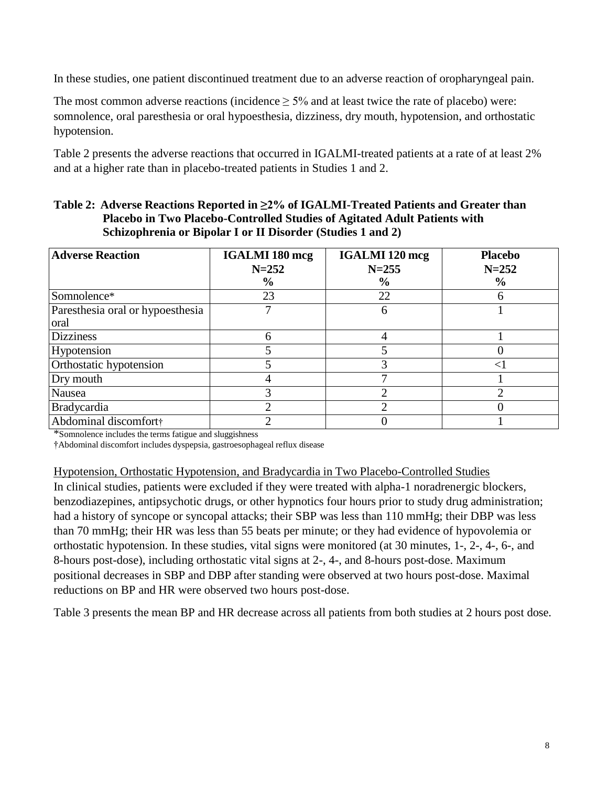In these studies, one patient discontinued treatment due to an adverse reaction of oropharyngeal pain.

The most common adverse reactions (incidence  $> 5\%$  and at least twice the rate of placebo) were: somnolence, oral paresthesia or oral hypoesthesia, dizziness, dry mouth, hypotension, and orthostatic hypotension.

Table 2 presents the adverse reactions that occurred in IGALMI-treated patients at a rate of at least 2% and at a higher rate than in placebo-treated patients in Studies 1 and 2.

| Table 2: Adverse Reactions Reported in $\geq 2\%$ of IGALMI-Treated Patients and Greater than |
|-----------------------------------------------------------------------------------------------|
| <b>Placebo in Two Placebo-Controlled Studies of Agitated Adult Patients with</b>              |
| Schizophrenia or Bipolar I or II Disorder (Studies 1 and 2)                                   |

| <b>Adverse Reaction</b>          | <b>IGALMI 180 mcg</b><br>$N = 252$ | <b>IGALMI</b> 120 mcg<br>$N = 255$ | <b>Placebo</b><br>$N = 252$ |
|----------------------------------|------------------------------------|------------------------------------|-----------------------------|
|                                  | $\frac{6}{9}$                      | $\%$                               | $\frac{6}{9}$               |
| Somnolence*                      | 23                                 | 22                                 | h                           |
| Paresthesia oral or hypoesthesia |                                    | h                                  |                             |
| oral                             |                                    |                                    |                             |
| <b>Dizziness</b>                 | h                                  |                                    |                             |
| Hypotension                      |                                    |                                    |                             |
| Orthostatic hypotension          |                                    |                                    | $\leq$                      |
| Dry mouth                        |                                    |                                    |                             |
| Nausea                           |                                    |                                    |                             |
| Bradycardia<br>າ                 |                                    |                                    |                             |
| Abdominal discomfort†            | າ                                  |                                    |                             |

\*Somnolence includes the terms fatigue and sluggishness

†Abdominal discomfort includes dyspepsia, gastroesophageal reflux disease

Hypotension, Orthostatic Hypotension, and Bradycardia in Two Placebo-Controlled Studies

In clinical studies, patients were excluded if they were treated with alpha-1 noradrenergic blockers, benzodiazepines, antipsychotic drugs, or other hypnotics four hours prior to study drug administration; had a history of syncope or syncopal attacks; their SBP was less than 110 mmHg; their DBP was less than 70 mmHg; their HR was less than 55 beats per minute; or they had evidence of hypovolemia or orthostatic hypotension. In these studies, vital signs were monitored (at 30 minutes, 1-, 2-, 4-, 6-, and 8-hours post-dose), including orthostatic vital signs at 2-, 4-, and 8-hours post-dose. Maximum positional decreases in SBP and DBP after standing were observed at two hours post-dose. Maximal reductions on BP and HR were observed two hours post-dose.

Table 3 presents the mean BP and HR decrease across all patients from both studies at 2 hours post dose.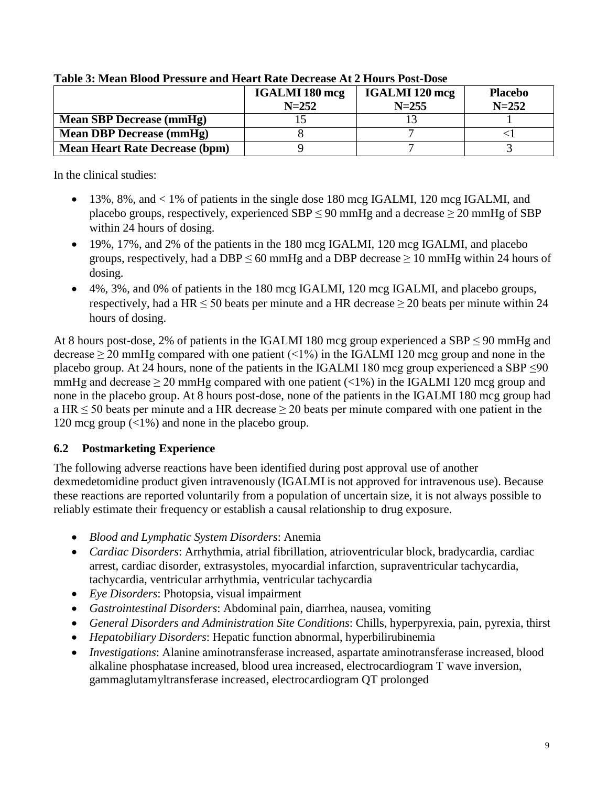|                                       | <b>IGALMI 180 mcg</b><br>$N = 252$ | <b>IGALMI</b> 120 mcg<br>$N = 255$ | <b>Placebo</b><br>$N = 252$ |
|---------------------------------------|------------------------------------|------------------------------------|-----------------------------|
| <b>Mean SBP Decrease (mmHg)</b>       |                                    |                                    |                             |
| <b>Mean DBP Decrease (mmHg)</b>       |                                    |                                    |                             |
| <b>Mean Heart Rate Decrease (bpm)</b> |                                    |                                    |                             |

#### **Table 3: Mean Blood Pressure and Heart Rate Decrease At 2 Hours Post-Dose**

In the clinical studies:

- 13%, 8%, and < 1% of patients in the single dose 180 mcg IGALMI, 120 mcg IGALMI, and placebo groups, respectively, experienced SBP  $\leq$  90 mmHg and a decrease  $\geq$  20 mmHg of SBP within 24 hours of dosing.
- 19%, 17%, and 2% of the patients in the 180 mcg IGALMI, 120 mcg IGALMI, and placebo groups, respectively, had a DBP  $\leq 60$  mmHg and a DBP decrease  $\geq 10$  mmHg within 24 hours of dosing.
- 4%, 3%, and 0% of patients in the 180 mcg IGALMI, 120 mcg IGALMI, and placebo groups, respectively, had a HR  $\leq$  50 beats per minute and a HR decrease  $\geq$  20 beats per minute within 24 hours of dosing.

At 8 hours post-dose, 2% of patients in the IGALMI 180 mcg group experienced a SBP  $\leq$  90 mmHg and decrease  $\geq$  20 mmHg compared with one patient (<1%) in the IGALMI 120 mcg group and none in the placebo group. At 24 hours, none of the patients in the IGALMI 180 mcg group experienced a SBP  $\leq 90$ mmHg and decrease  $\geq 20$  mmHg compared with one patient (<1%) in the IGALMI 120 mcg group and none in the placebo group. At 8 hours post-dose, none of the patients in the IGALMI 180 mcg group had a HR  $\leq$  50 beats per minute and a HR decrease  $\geq$  20 beats per minute compared with one patient in the 120 mcg group  $\left($  <1%) and none in the placebo group.

## <span id="page-8-0"></span>**6.2 Postmarketing Experience**

The following adverse reactions have been identified during post approval use of another dexmedetomidine product given intravenously (IGALMI is not approved for intravenous use). Because these reactions are reported voluntarily from a population of uncertain size, it is not always possible to reliably estimate their frequency or establish a causal relationship to drug exposure.

- *Blood and Lymphatic System Disorders*: Anemia
- *Cardiac Disorders*: Arrhythmia, atrial fibrillation, atrioventricular block, bradycardia, cardiac arrest, cardiac disorder, extrasystoles, myocardial infarction, supraventricular tachycardia, tachycardia, ventricular arrhythmia, ventricular tachycardia
- *Eye Disorders*: Photopsia, visual impairment
- *Gastrointestinal Disorders*: Abdominal pain, diarrhea, nausea, vomiting
- *General Disorders and Administration Site Conditions*: Chills, hyperpyrexia, pain, pyrexia, thirst
- *Hepatobiliary Disorders*: Hepatic function abnormal, hyperbilirubinemia
- *Investigations*: Alanine aminotransferase increased, aspartate aminotransferase increased, blood alkaline phosphatase increased, blood urea increased, electrocardiogram T wave inversion, gammaglutamyltransferase increased, electrocardiogram QT prolonged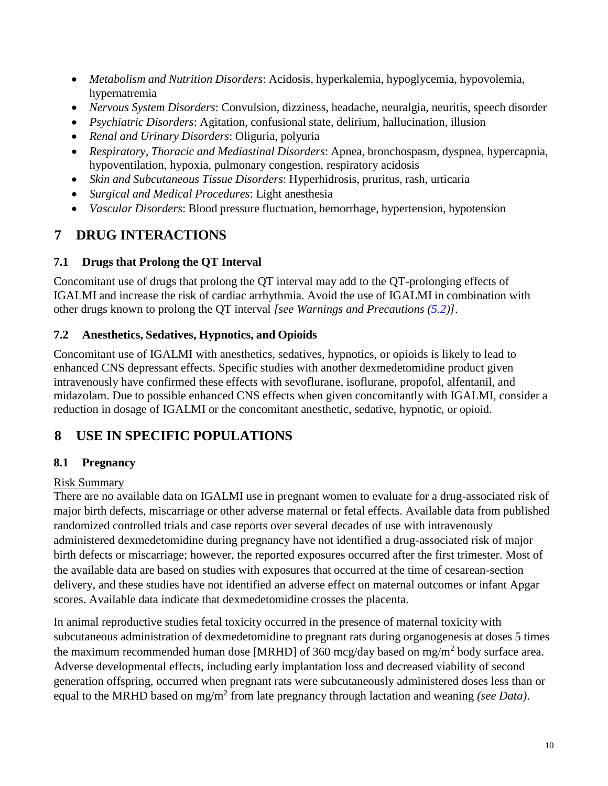- *Metabolism and Nutrition Disorders*: Acidosis, hyperkalemia, hypoglycemia, hypovolemia, hypernatremia
- *Nervous System Disorders*: Convulsion, dizziness, headache, neuralgia, neuritis, speech disorder
- *Psychiatric Disorders*: Agitation, confusional state, delirium, hallucination, illusion
- *Renal and Urinary Disorders*: Oliguria, polyuria
- *Respiratory, Thoracic and Mediastinal Disorders*: Apnea, bronchospasm, dyspnea, hypercapnia, hypoventilation, hypoxia, pulmonary congestion, respiratory acidosis
- *Skin and Subcutaneous Tissue Disorders*: Hyperhidrosis, pruritus, rash, urticaria
- *Surgical and Medical Procedures*: Light anesthesia
- *Vascular Disorders*: Blood pressure fluctuation, hemorrhage, hypertension, hypotension

# <span id="page-9-2"></span>**7 DRUG INTERACTIONS**

## <span id="page-9-0"></span>**7.1 Drugs that Prolong the QT Interval**

Concomitant use of drugs that prolong the QT interval may add to the QT-prolonging effects of IGALMI and increase the risk of cardiac arrhythmia. Avoid the use of IGALMI in combination with other drugs known to prolong the QT interval *[see Warnings and Precautions [\(5.2\)](#page-5-1)]*.

## <span id="page-9-1"></span>**7.2 Anesthetics, Sedatives, Hypnotics, and Opioids**

Concomitant use of IGALMI with anesthetics, sedatives, hypnotics, or opioids is likely to lead to enhanced CNS depressant effects. Specific studies with another dexmedetomidine product given intravenously have confirmed these effects with sevoflurane, isoflurane, propofol, alfentanil, and midazolam. Due to possible enhanced CNS effects when given concomitantly with IGALMI, consider a reduction in dosage of IGALMI or the concomitant anesthetic, sedative, hypnotic, or opioid.

# <span id="page-9-3"></span>**8 USE IN SPECIFIC POPULATIONS**

## <span id="page-9-4"></span>**8.1 Pregnancy**

## Risk Summary

There are no available data on IGALMI use in pregnant women to evaluate for a drug-associated risk of major birth defects, miscarriage or other adverse maternal or fetal effects. Available data from published randomized controlled trials and case reports over several decades of use with intravenously administered dexmedetomidine during pregnancy have not identified a drug-associated risk of major birth defects or miscarriage; however, the reported exposures occurred after the first trimester. Most of the available data are based on studies with exposures that occurred at the time of cesarean-section delivery, and these studies have not identified an adverse effect on maternal outcomes or infant Apgar scores. Available data indicate that dexmedetomidine crosses the placenta.

In animal reproductive studies fetal toxicity occurred in the presence of maternal toxicity with subcutaneous administration of dexmedetomidine to pregnant rats during organogenesis at doses 5 times the maximum recommended human dose [MRHD] of 360 mcg/day based on mg/m<sup>2</sup> body surface area. Adverse developmental effects, including early implantation loss and decreased viability of second generation offspring, occurred when pregnant rats were subcutaneously administered doses less than or equal to the MRHD based on mg/m<sup>2</sup> from late pregnancy through lactation and weaning *(see Data)*.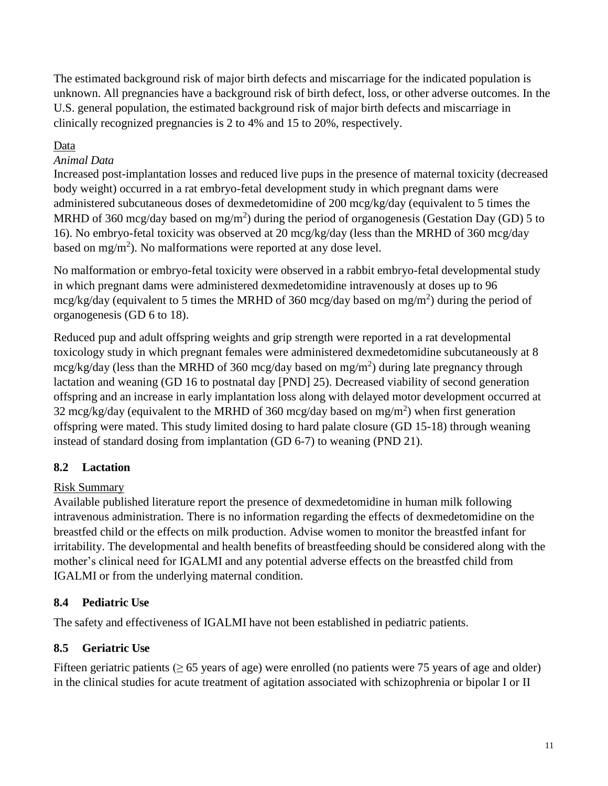The estimated background risk of major birth defects and miscarriage for the indicated population is unknown. All pregnancies have a background risk of birth defect, loss, or other adverse outcomes. In the U.S. general population, the estimated background risk of major birth defects and miscarriage in clinically recognized pregnancies is 2 to 4% and 15 to 20%, respectively.

## Data

## *Animal Data*

Increased post-implantation losses and reduced live pups in the presence of maternal toxicity (decreased body weight) occurred in a rat embryo-fetal development study in which pregnant dams were administered subcutaneous doses of dexmedetomidine of 200 mcg/kg/day (equivalent to 5 times the MRHD of 360 mcg/day based on mg/m<sup>2</sup>) during the period of organogenesis (Gestation Day (GD) 5 to 16). No embryo-fetal toxicity was observed at 20 mcg/kg/day (less than the MRHD of 360 mcg/day based on mg/m<sup>2</sup>). No malformations were reported at any dose level.

No malformation or embryo-fetal toxicity were observed in a rabbit embryo-fetal developmental study in which pregnant dams were administered dexmedetomidine intravenously at doses up to 96 mcg/kg/day (equivalent to 5 times the MRHD of 360 mcg/day based on mg/m<sup>2</sup>) during the period of organogenesis (GD 6 to 18).

Reduced pup and adult offspring weights and grip strength were reported in a rat developmental toxicology study in which pregnant females were administered dexmedetomidine subcutaneously at 8 mcg/kg/day (less than the MRHD of 360 mcg/day based on mg/m<sup>2</sup>) during late pregnancy through lactation and weaning (GD 16 to postnatal day [PND] 25). Decreased viability of second generation offspring and an increase in early implantation loss along with delayed motor development occurred at 32 mcg/kg/day (equivalent to the MRHD of 360 mcg/day based on mg/m<sup>2</sup>) when first generation offspring were mated. This study limited dosing to hard palate closure (GD 15-18) through weaning instead of standard dosing from implantation (GD 6-7) to weaning (PND 21).

## <span id="page-10-0"></span>**8.2 Lactation**

## Risk Summary

Available published literature report the presence of dexmedetomidine in human milk following intravenous administration. There is no information regarding the effects of dexmedetomidine on the breastfed child or the effects on milk production. Advise women to monitor the breastfed infant for irritability. The developmental and health benefits of breastfeeding should be considered along with the mother's clinical need for IGALMI and any potential adverse effects on the breastfed child from IGALMI or from the underlying maternal condition.

## <span id="page-10-1"></span>**8.4 Pediatric Use**

The safety and effectiveness of IGALMI have not been established in pediatric patients.

## <span id="page-10-2"></span>**8.5 Geriatric Use**

Fifteen geriatric patients ( $\geq 65$  years of age) were enrolled (no patients were 75 years of age and older) in the clinical studies for acute treatment of agitation associated with schizophrenia or bipolar I or II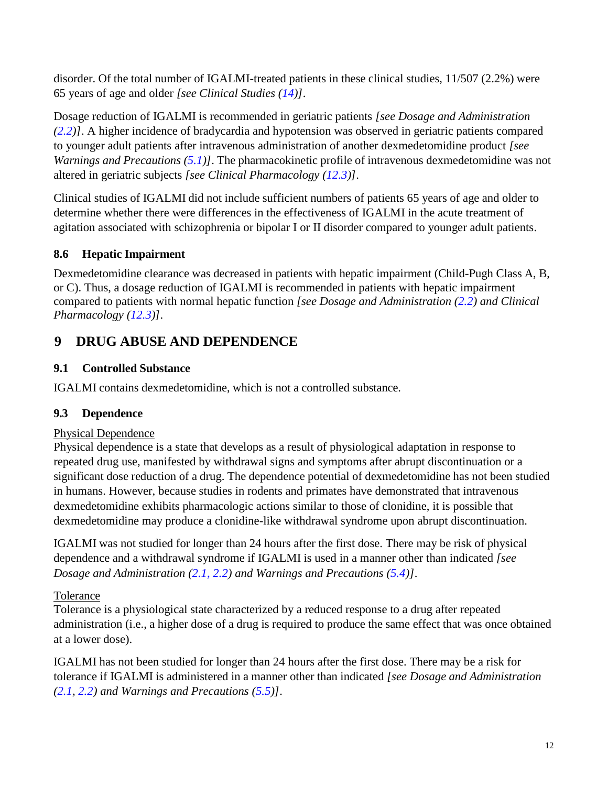disorder. Of the total number of IGALMI-treated patients in these clinical studies, 11/507 (2.2%) were 65 years of age and older *[see Clinical Studies [\(14\)](#page-16-1)]*.

Dosage reduction of IGALMI is recommended in geriatric patients *[see Dosage and Administration [\(2.2\)](#page-1-2)]*. A higher incidence of bradycardia and hypotension was observed in geriatric patients compared to younger adult patients after intravenous administration of another dexmedetomidine product *[see Warnings and Precautions [\(5.1\)](#page-4-1)]*. The pharmacokinetic profile of intravenous dexmedetomidine was not altered in geriatric subjects *[see Clinical Pharmacology [\(12.3\)](#page-13-3)]*.

Clinical studies of IGALMI did not include sufficient numbers of patients 65 years of age and older to determine whether there were differences in the effectiveness of IGALMI in the acute treatment of agitation associated with schizophrenia or bipolar I or II disorder compared to younger adult patients.

# <span id="page-11-0"></span>**8.6 Hepatic Impairment**

Dexmedetomidine clearance was decreased in patients with hepatic impairment (Child-Pugh Class A, B, or C). Thus, a dosage reduction of IGALMI is recommended in patients with hepatic impairment compared to patients with normal hepatic function *[see Dosage and Administration [\(2.2\)](#page-1-2) and Clinical Pharmacology [\(12.3\)](#page-13-3)]*.

# <span id="page-11-1"></span>**9 DRUG ABUSE AND DEPENDENCE**

## <span id="page-11-2"></span>**9.1 Controlled Substance**

IGALMI contains dexmedetomidine, which is not a controlled substance.

## <span id="page-11-3"></span>**9.3 Dependence**

## Physical Dependence

Physical dependence is a state that develops as a result of physiological adaptation in response to repeated drug use, manifested by withdrawal signs and symptoms after abrupt discontinuation or a significant dose reduction of a drug. The dependence potential of dexmedetomidine has not been studied in humans. However, because studies in rodents and primates have demonstrated that intravenous dexmedetomidine exhibits pharmacologic actions similar to those of clonidine, it is possible that dexmedetomidine may produce a clonidine-like withdrawal syndrome upon abrupt discontinuation.

IGALMI was not studied for longer than 24 hours after the first dose. There may be risk of physical dependence and a withdrawal syndrome if IGALMI is used in a manner other than indicated *[see Dosage and Administration [\(2.1,](#page-1-1) 2.2) and Warnings and Precautions [\(5.4\)](#page-5-0)]*.

## Tolerance

Tolerance is a physiological state characterized by a reduced response to a drug after repeated administration (i.e., a higher dose of a drug is required to produce the same effect that was once obtained at a lower dose).

IGALMI has not been studied for longer than 24 hours after the first dose. There may be a risk for tolerance if IGALMI is administered in a manner other than indicated *[see Dosage and Administration [\(2.1,](#page-1-1) [2.2\)](#page-1-2) and Warnings and Precautions [\(5.5\)](#page-6-1)]*.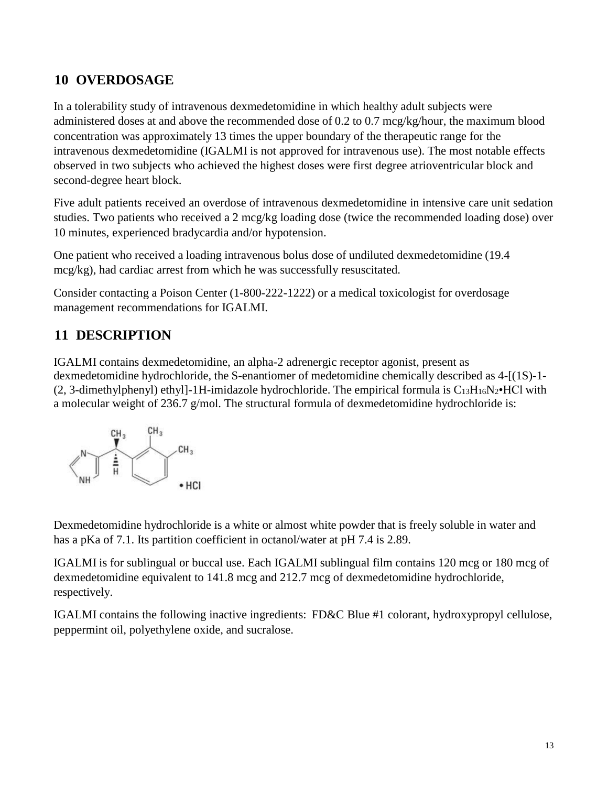# <span id="page-12-0"></span>**10 OVERDOSAGE**

In a tolerability study of intravenous dexmedetomidine in which healthy adult subjects were administered doses at and above the recommended dose of 0.2 to 0.7 mcg/kg/hour, the maximum blood concentration was approximately 13 times the upper boundary of the therapeutic range for the intravenous dexmedetomidine (IGALMI is not approved for intravenous use). The most notable effects observed in two subjects who achieved the highest doses were first degree atrioventricular block and second-degree heart block.

Five adult patients received an overdose of intravenous dexmedetomidine in intensive care unit sedation studies. Two patients who received a 2 mcg/kg loading dose (twice the recommended loading dose) over 10 minutes, experienced bradycardia and/or hypotension.

One patient who received a loading intravenous bolus dose of undiluted dexmedetomidine (19.4 mcg/kg), had cardiac arrest from which he was successfully resuscitated.

Consider contacting a Poison Center (1-800-222-1222) or a medical toxicologist for overdosage management recommendations for IGALMI.

# <span id="page-12-1"></span>**11 DESCRIPTION**

IGALMI contains dexmedetomidine, an alpha-2 adrenergic receptor agonist, present as dexmedetomidine hydrochloride, the S-enantiomer of medetomidine chemically described as 4-[(1S)-1- (2, 3-dimethylphenyl) ethyl]-1H-imidazole hydrochloride. The empirical formula is  $C_{13}H_{16}N_2 \cdot HCl$  with a molecular weight of 236.7 g/mol. The structural formula of dexmedetomidine hydrochloride is:



Dexmedetomidine hydrochloride is a white or almost white powder that is freely soluble in water and has a pKa of 7.1. Its partition coefficient in octanol/water at pH 7.4 is 2.89.

IGALMI is for sublingual or buccal use. Each IGALMI sublingual film contains 120 mcg or 180 mcg of dexmedetomidine equivalent to 141.8 mcg and 212.7 mcg of dexmedetomidine hydrochloride, respectively.

IGALMI contains the following inactive ingredients: FD&C Blue #1 colorant, hydroxypropyl cellulose, peppermint oil, polyethylene oxide, and sucralose.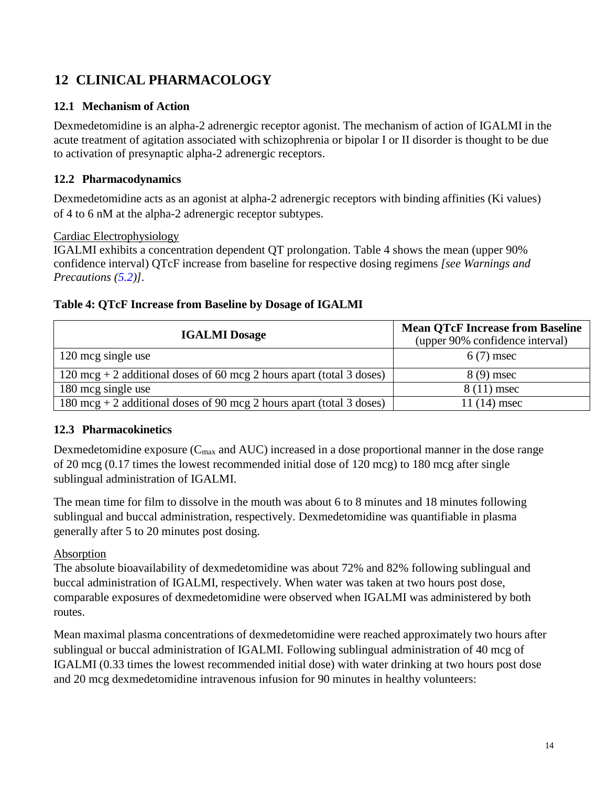# <span id="page-13-0"></span>**12 CLINICAL PHARMACOLOGY**

## <span id="page-13-1"></span>**12.1 Mechanism of Action**

Dexmedetomidine is an alpha-2 adrenergic receptor agonist. The mechanism of action of IGALMI in the acute treatment of agitation associated with schizophrenia or bipolar I or II disorder is thought to be due to activation of presynaptic alpha-2 adrenergic receptors.

## <span id="page-13-2"></span>**12.2 Pharmacodynamics**

Dexmedetomidine acts as an agonist at alpha-2 adrenergic receptors with binding affinities (Ki values) of 4 to 6 nM at the alpha-2 adrenergic receptor subtypes.

#### Cardiac Electrophysiology

IGALMI exhibits a concentration dependent QT prolongation. Table 4 shows the mean (upper 90% confidence interval) QTcF increase from baseline for respective dosing regimens *[see Warnings and Precautions [\(5.2\)](#page-5-1)].*

## **Table 4: QTcF Increase from Baseline by Dosage of IGALMI**

| <b>IGALMI</b> Dosage                                                           | <b>Mean QTcF Increase from Baseline</b><br>(upper 90% confidence interval) |  |
|--------------------------------------------------------------------------------|----------------------------------------------------------------------------|--|
| 120 mcg single use                                                             | $6(7)$ msec                                                                |  |
| $120 \text{ mcg} + 2$ additional doses of 60 mcg 2 hours apart (total 3 doses) | $8(9)$ msec                                                                |  |
| 180 mcg single use                                                             | $8(11)$ msec                                                               |  |
| $180 \text{ mcg} + 2$ additional doses of 90 mcg 2 hours apart (total 3 doses) | $11(14)$ msec                                                              |  |

## <span id="page-13-3"></span>**12.3 Pharmacokinetics**

Dexmedetomidine exposure  $(C_{\text{max}}$  and AUC) increased in a dose proportional manner in the dose range of 20 mcg (0.17 times the lowest recommended initial dose of 120 mcg) to 180 mcg after single sublingual administration of IGALMI.

The mean time for film to dissolve in the mouth was about 6 to 8 minutes and 18 minutes following sublingual and buccal administration, respectively. Dexmedetomidine was quantifiable in plasma generally after 5 to 20 minutes post dosing.

## Absorption

The absolute bioavailability of dexmedetomidine was about 72% and 82% following sublingual and buccal administration of IGALMI, respectively. When water was taken at two hours post dose, comparable exposures of dexmedetomidine were observed when IGALMI was administered by both routes.

Mean maximal plasma concentrations of dexmedetomidine were reached approximately two hours after sublingual or buccal administration of IGALMI. Following sublingual administration of 40 mcg of IGALMI (0.33 times the lowest recommended initial dose) with water drinking at two hours post dose and 20 mcg dexmedetomidine intravenous infusion for 90 minutes in healthy volunteers: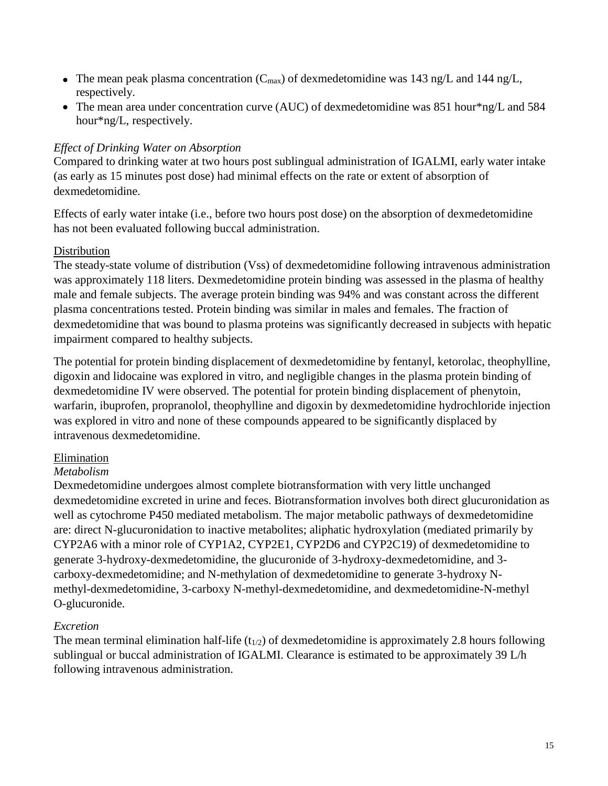- The mean peak plasma concentration ( $C_{\text{max}}$ ) of dexmedetomidine was 143 ng/L and 144 ng/L, respectively.
- The mean area under concentration curve (AUC) of dexmedetomidine was 851 hour\*ng/L and 584 hour\*ng/L, respectively.

#### *Effect of Drinking Water on Absorption*

Compared to drinking water at two hours post sublingual administration of IGALMI, early water intake (as early as 15 minutes post dose) had minimal effects on the rate or extent of absorption of dexmedetomidine.

Effects of early water intake (i.e., before two hours post dose) on the absorption of dexmedetomidine has not been evaluated following buccal administration.

#### **Distribution**

The steady-state volume of distribution (Vss) of dexmedetomidine following intravenous administration was approximately 118 liters. Dexmedetomidine protein binding was assessed in the plasma of healthy male and female subjects. The average protein binding was 94% and was constant across the different plasma concentrations tested. Protein binding was similar in males and females. The fraction of dexmedetomidine that was bound to plasma proteins was significantly decreased in subjects with hepatic impairment compared to healthy subjects.

The potential for protein binding displacement of dexmedetomidine by fentanyl, ketorolac, theophylline, digoxin and lidocaine was explored in vitro, and negligible changes in the plasma protein binding of dexmedetomidine IV were observed. The potential for protein binding displacement of phenytoin, warfarin, ibuprofen, propranolol, theophylline and digoxin by dexmedetomidine hydrochloride injection was explored in vitro and none of these compounds appeared to be significantly displaced by intravenous dexmedetomidine.

## Elimination

## *Metabolism*

Dexmedetomidine undergoes almost complete biotransformation with very little unchanged dexmedetomidine excreted in urine and feces. Biotransformation involves both direct glucuronidation as well as cytochrome P450 mediated metabolism. The major metabolic pathways of dexmedetomidine are: direct N-glucuronidation to inactive metabolites; aliphatic hydroxylation (mediated primarily by CYP2A6 with a minor role of CYP1A2, CYP2E1, CYP2D6 and CYP2C19) of dexmedetomidine to generate 3-hydroxy-dexmedetomidine, the glucuronide of 3-hydroxy-dexmedetomidine, and 3 carboxy-dexmedetomidine; and N-methylation of dexmedetomidine to generate 3-hydroxy Nmethyl-dexmedetomidine, 3-carboxy N-methyl-dexmedetomidine, and dexmedetomidine-N-methyl O-glucuronide.

#### *Excretion*

The mean terminal elimination half-life  $(t_{1/2})$  of dexmedetomidine is approximately 2.8 hours following sublingual or buccal administration of IGALMI. Clearance is estimated to be approximately 39 L/h following intravenous administration.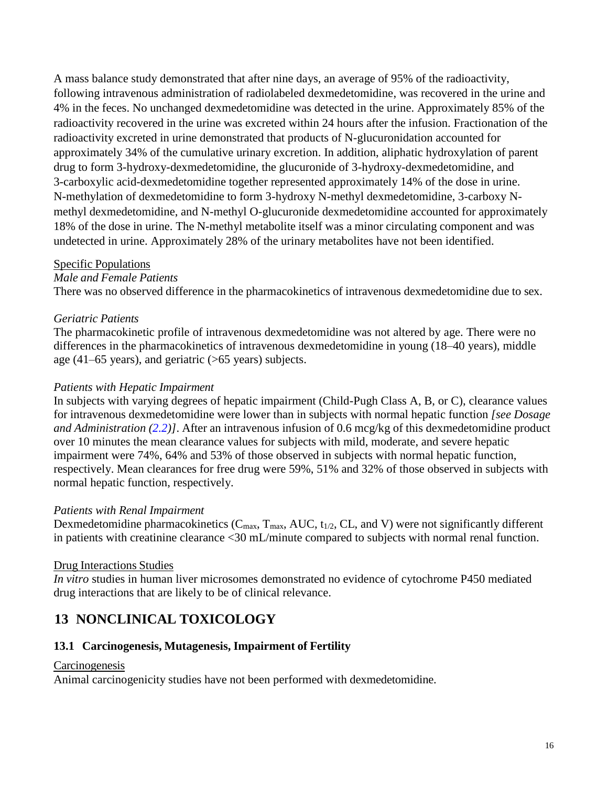A mass balance study demonstrated that after nine days, an average of 95% of the radioactivity, following intravenous administration of radiolabeled dexmedetomidine, was recovered in the urine and 4% in the feces. No unchanged dexmedetomidine was detected in the urine. Approximately 85% of the radioactivity recovered in the urine was excreted within 24 hours after the infusion. Fractionation of the radioactivity excreted in urine demonstrated that products of N-glucuronidation accounted for approximately 34% of the cumulative urinary excretion. In addition, aliphatic hydroxylation of parent drug to form 3-hydroxy-dexmedetomidine, the glucuronide of 3-hydroxy-dexmedetomidine, and 3-carboxylic acid-dexmedetomidine together represented approximately 14% of the dose in urine. N-methylation of dexmedetomidine to form 3-hydroxy N-methyl dexmedetomidine, 3-carboxy Nmethyl dexmedetomidine, and N-methyl O-glucuronide dexmedetomidine accounted for approximately 18% of the dose in urine. The N-methyl metabolite itself was a minor circulating component and was undetected in urine. Approximately 28% of the urinary metabolites have not been identified.

#### Specific Populations

#### *Male and Female Patients*

There was no observed difference in the pharmacokinetics of intravenous dexmedetomidine due to sex.

#### *Geriatric Patients*

The pharmacokinetic profile of intravenous dexmedetomidine was not altered by age. There were no differences in the pharmacokinetics of intravenous dexmedetomidine in young (18–40 years), middle age (41–65 years), and geriatric (>65 years) subjects.

#### *Patients with Hepatic Impairment*

In subjects with varying degrees of hepatic impairment (Child-Pugh Class A, B, or C), clearance values for intravenous dexmedetomidine were lower than in subjects with normal hepatic function *[see Dosage and Administration (2.2)]*. After an intravenous infusion of 0.6 mcg/kg of this dexmedetomidine product over 10 minutes the mean clearance values for subjects with mild, moderate, and severe hepatic impairment were 74%, 64% and 53% of those observed in subjects with normal hepatic function, respectively. Mean clearances for free drug were 59%, 51% and 32% of those observed in subjects with normal hepatic function, respectively.

#### *Patients with Renal Impairment*

Dexmedetomidine pharmacokinetics ( $C_{\text{max}}$ ,  $T_{\text{max}}$ , AUC,  $t_{1/2}$ , CL, and V) were not significantly different in patients with creatinine clearance <30 mL/minute compared to subjects with normal renal function.

#### Drug Interactions Studies

*In vitro* studies in human liver microsomes demonstrated no evidence of cytochrome P450 mediated drug interactions that are likely to be of clinical relevance.

## <span id="page-15-0"></span>**13 NONCLINICAL TOXICOLOGY**

#### <span id="page-15-1"></span>**13.1 Carcinogenesis, Mutagenesis, Impairment of Fertility**

#### **Carcinogenesis**

Animal carcinogenicity studies have not been performed with dexmedetomidine.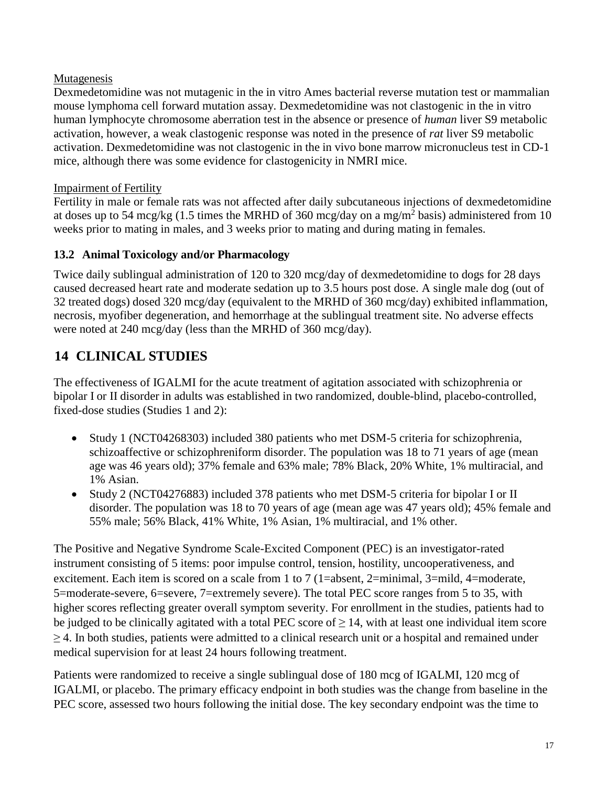#### Mutagenesis

Dexmedetomidine was not mutagenic in the in vitro Ames bacterial reverse mutation test or mammalian mouse lymphoma cell forward mutation assay. Dexmedetomidine was not clastogenic in the in vitro human lymphocyte chromosome aberration test in the absence or presence of *human* liver S9 metabolic activation, however, a weak clastogenic response was noted in the presence of *rat* liver S9 metabolic activation. Dexmedetomidine was not clastogenic in the in vivo bone marrow micronucleus test in CD-1 mice, although there was some evidence for clastogenicity in NMRI mice.

#### Impairment of Fertility

Fertility in male or female rats was not affected after daily subcutaneous injections of dexmedetomidine at doses up to 54 mcg/kg (1.5 times the MRHD of 360 mcg/day on a mg/m<sup>2</sup> basis) administered from 10 weeks prior to mating in males, and 3 weeks prior to mating and during mating in females.

#### <span id="page-16-0"></span>**13.2 Animal Toxicology and/or Pharmacology**

Twice daily sublingual administration of 120 to 320 mcg/day of dexmedetomidine to dogs for 28 days caused decreased heart rate and moderate sedation up to 3.5 hours post dose. A single male dog (out of 32 treated dogs) dosed 320 mcg/day (equivalent to the MRHD of 360 mcg/day) exhibited inflammation, necrosis, myofiber degeneration, and hemorrhage at the sublingual treatment site. No adverse effects were noted at 240 mcg/day (less than the MRHD of 360 mcg/day).

# <span id="page-16-1"></span>**14 CLINICAL STUDIES**

The effectiveness of IGALMI for the acute treatment of agitation associated with schizophrenia or bipolar I or II disorder in adults was established in two randomized, double-blind, placebo-controlled, fixed-dose studies (Studies 1 and 2):

- Study 1 (NCT04268303) included 380 patients who met DSM-5 criteria for schizophrenia, schizoaffective or schizophreniform disorder. The population was 18 to 71 years of age (mean age was 46 years old); 37% female and 63% male; 78% Black, 20% White, 1% multiracial, and 1% Asian.
- Study 2 (NCT04276883) included 378 patients who met DSM-5 criteria for bipolar I or II disorder. The population was 18 to 70 years of age (mean age was 47 years old); 45% female and 55% male; 56% Black, 41% White, 1% Asian, 1% multiracial, and 1% other.

The Positive and Negative Syndrome Scale-Excited Component (PEC) is an investigator-rated instrument consisting of 5 items: poor impulse control, tension, hostility, uncooperativeness, and excitement. Each item is scored on a scale from 1 to 7 (1=absent, 2=minimal, 3=mild, 4=moderate, 5=moderate-severe, 6=severe, 7=extremely severe). The total PEC score ranges from 5 to 35, with higher scores reflecting greater overall symptom severity. For enrollment in the studies, patients had to be judged to be clinically agitated with a total PEC score of  $\geq$  14, with at least one individual item score  $\geq$  4. In both studies, patients were admitted to a clinical research unit or a hospital and remained under medical supervision for at least 24 hours following treatment.

Patients were randomized to receive a single sublingual dose of 180 mcg of IGALMI, 120 mcg of IGALMI, or placebo. The primary efficacy endpoint in both studies was the change from baseline in the PEC score, assessed two hours following the initial dose. The key secondary endpoint was the time to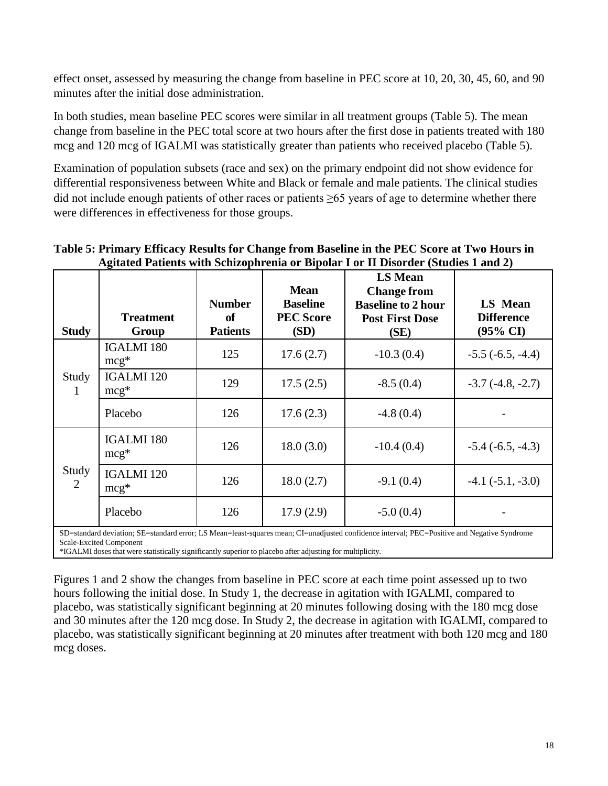effect onset, assessed by measuring the change from baseline in PEC score at 10, 20, 30, 45, 60, and 90 minutes after the initial dose administration.

In both studies, mean baseline PEC scores were similar in all treatment groups (Table 5). The mean change from baseline in the PEC total score at two hours after the first dose in patients treated with 180 mcg and 120 mcg of IGALMI was statistically greater than patients who received placebo (Table 5).

Examination of population subsets (race and sex) on the primary endpoint did not show evidence for differential responsiveness between White and Black or female and male patients. The clinical studies did not include enough patients of other races or patients  $\geq 65$  years of age to determine whether there were differences in effectiveness for those groups.

| <b>Study</b> | <b>Treatment</b><br>Group   | <b>Number</b><br>of<br><b>Patients</b> | <b>Mean</b><br><b>Baseline</b><br><b>PEC Score</b><br>(SD) | <b>LS Mean</b><br><b>Change from</b><br><b>Baseline to 2 hour</b><br><b>Post First Dose</b><br>(SE)                                                         | <b>LS Mean</b><br><b>Difference</b><br>$(95\% \text{ CI})$ |
|--------------|-----------------------------|----------------------------------------|------------------------------------------------------------|-------------------------------------------------------------------------------------------------------------------------------------------------------------|------------------------------------------------------------|
| Study<br>1   | <b>IGALMI 180</b><br>$mcg*$ | 125                                    | 17.6(2.7)                                                  | $-10.3(0.4)$                                                                                                                                                | $-5.5(-6.5, -4.4)$                                         |
|              | <b>IGALMI</b> 120<br>$mcg*$ | 129                                    | 17.5(2.5)                                                  | $-8.5(0.4)$                                                                                                                                                 | $-3.7(-4.8, -2.7)$                                         |
|              | Placebo                     | 126                                    | 17.6(2.3)                                                  | $-4.8(0.4)$                                                                                                                                                 |                                                            |
|              | <b>IGALMI 180</b><br>$mcg*$ | 126                                    | 18.0(3.0)                                                  | $-10.4(0.4)$                                                                                                                                                | $-5.4(-6.5, -4.3)$                                         |
| Study<br>2   | <b>IGALMI</b> 120<br>$mcg*$ | 126                                    | 18.0(2.7)                                                  | $-9.1(0.4)$                                                                                                                                                 | $-4.1(-5.1, -3.0)$                                         |
|              | Placebo                     | 126                                    | 17.9(2.9)                                                  | $-5.0(0.4)$<br>$\alpha$ , and interest on $\alpha$ and in the Left and the collection of the finish inflance income $\alpha$ and $\alpha$ in the continuous |                                                            |

**Table 5: Primary Efficacy Results for Change from Baseline in the PEC Score at Two Hours in Agitated Patients with Schizophrenia or Bipolar I or II Disorder (Studies 1 and 2)**

Feast-squares mean; CI=unadjusted confidence interval; PEC=Positive and Negative Syndrome Scale-Excited Component

\*IGALMI doses that were statistically significantly superior to placebo after adjusting for multiplicity.

Figures 1 and 2 show the changes from baseline in PEC score at each time point assessed up to two hours following the initial dose. In Study 1, the decrease in agitation with IGALMI, compared to placebo, was statistically significant beginning at 20 minutes following dosing with the 180 mcg dose and 30 minutes after the 120 mcg dose. In Study 2, the decrease in agitation with IGALMI, compared to placebo, was statistically significant beginning at 20 minutes after treatment with both 120 mcg and 180 mcg doses.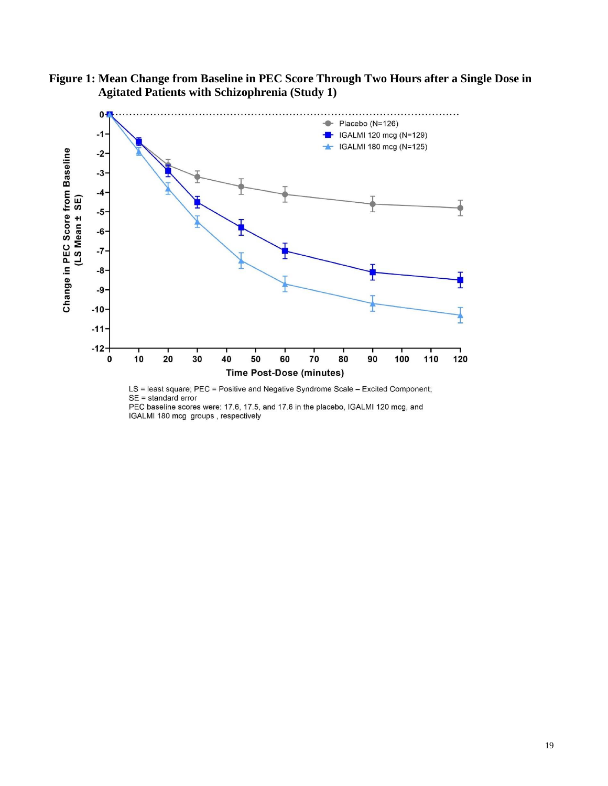





PEC baseline scores were: 17.6, 17.5, and 17.6 in the placebo, IGALMI 120 mcg, and IGALMI 180 mcg groups, respectively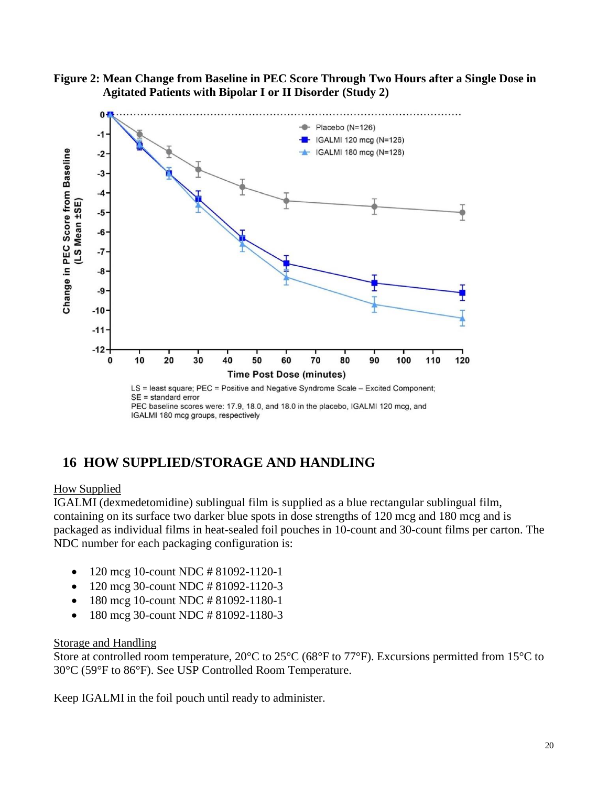



PEC baseline scores were: 17.9, 18.0, and 18.0 in the placebo, IGALMI 120 mcg, and IGALMI 180 mcg groups, respectively

## <span id="page-19-0"></span>**16 HOW SUPPLIED/STORAGE AND HANDLING**

#### How Supplied

IGALMI (dexmedetomidine) sublingual film is supplied as a blue rectangular sublingual film, containing on its surface two darker blue spots in dose strengths of 120 mcg and 180 mcg and is packaged as individual films in heat-sealed foil pouches in 10-count and 30-count films per carton. The NDC number for each packaging configuration is:

- 120 mcg 10-count NDC # 81092-1120-1
- 120 mcg 30-count NDC # 81092-1120-3
- 180 mcg 10-count NDC # 81092-1180-1
- 180 mcg 30-count NDC # 81092-1180-3

#### Storage and Handling

Store at controlled room temperature, 20<sup>o</sup>C to 25<sup>o</sup>C (68<sup>o</sup>F to 77<sup>o</sup>F). Excursions permitted from 15<sup>o</sup>C to 30°C (59°F to 86°F). See USP Controlled Room Temperature.

Keep IGALMI in the foil pouch until ready to administer.